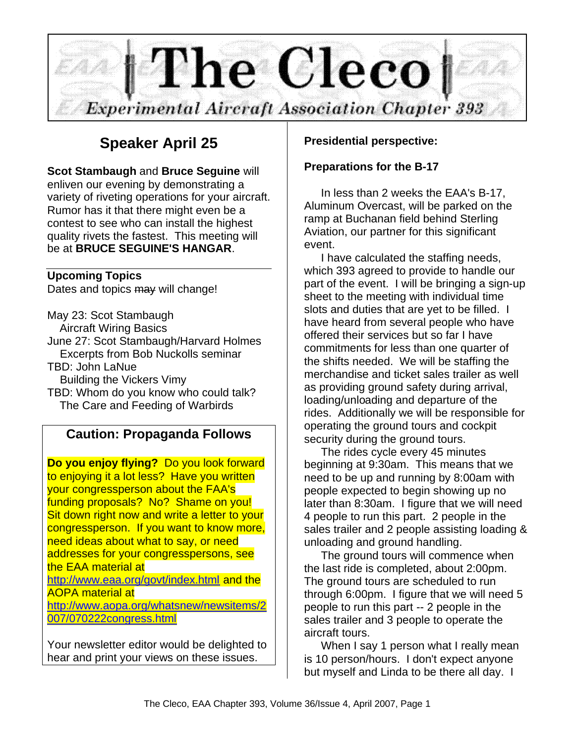

# **Speaker April 25**

**Scot Stambaugh** and **Bruce Seguine** will enliven our evening by demonstrating a variety of riveting operations for your aircraft. Rumor has it that there might even be a contest to see who can install the highest quality rivets the fastest. This meeting will be at **BRUCE SEGUINE'S HANGAR**.

#### **Upcoming Topics**

Dates and topics may will change!

May 23: Scot Stambaugh Aircraft Wiring Basics June 27: Scot Stambaugh/Harvard Holmes Excerpts from Bob Nuckolls seminar TBD: John LaNue Building the Vickers Vimy TBD: Whom do you know who could talk?

## The Care and Feeding of Warbirds

### **Caution: Propaganda Follows**

**Do you enjoy flying?** Do you look forward to enjoying it a lot less? Have you written your congressperson about the FAA's funding proposals? No? Shame on you! Sit down right now and write a letter to your congressperson. If you want to know more, need ideas about what to say, or need addresses for your congresspersons, see the EAA material at http://www.eaa.org/govt/index.html and the AOPA material at http://www.aopa.org/whatsnew/newsitems/2 007/070222congress.html

Your newsletter editor would be delighted to hear and print your views on these issues.

### **Presidential perspective:**

### **Preparations for the B-17**

In less than 2 weeks the EAA's B-17, Aluminum Overcast, will be parked on the ramp at Buchanan field behind Sterling Aviation, our partner for this significant event.

I have calculated the staffing needs, which 393 agreed to provide to handle our part of the event. I will be bringing a sign-up sheet to the meeting with individual time slots and duties that are yet to be filled. I have heard from several people who have offered their services but so far I have commitments for less than one quarter of the shifts needed. We will be staffing the merchandise and ticket sales trailer as well as providing ground safety during arrival, loading/unloading and departure of the rides. Additionally we will be responsible for operating the ground tours and cockpit security during the ground tours.

The rides cycle every 45 minutes beginning at 9:30am. This means that we need to be up and running by 8:00am with people expected to begin showing up no later than 8:30am. I figure that we will need 4 people to run this part. 2 people in the sales trailer and 2 people assisting loading & unloading and ground handling.

The ground tours will commence when the last ride is completed, about 2:00pm. The ground tours are scheduled to run through 6:00pm. I figure that we will need 5 people to run this part -- 2 people in the sales trailer and 3 people to operate the aircraft tours.

When I say 1 person what I really mean is 10 person/hours. I don't expect anyone but myself and Linda to be there all day. I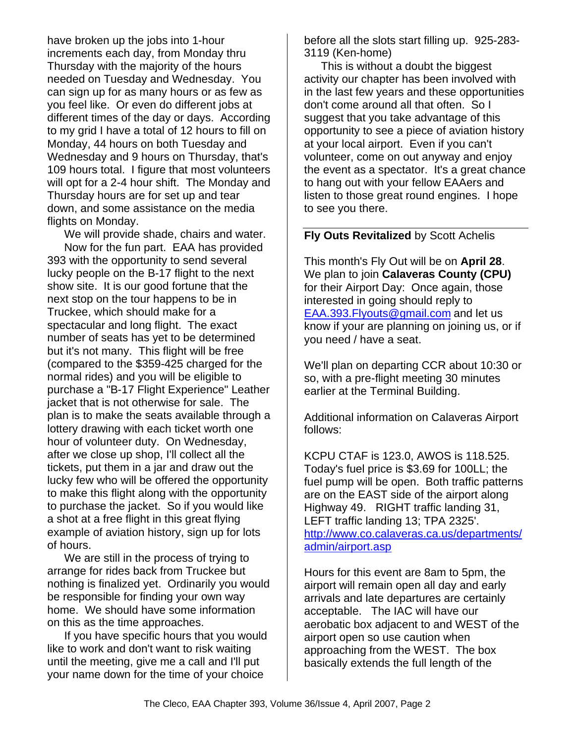have broken up the jobs into 1-hour increments each day, from Monday thru Thursday with the majority of the hours needed on Tuesday and Wednesday. You can sign up for as many hours or as few as you feel like. Or even do different jobs at different times of the day or days. According to my grid I have a total of 12 hours to fill on Monday, 44 hours on both Tuesday and Wednesday and 9 hours on Thursday, that's 109 hours total. I figure that most volunteers will opt for a 2-4 hour shift. The Monday and Thursday hours are for set up and tear down, and some assistance on the media flights on Monday.

We will provide shade, chairs and water. Now for the fun part. EAA has provided 393 with the opportunity to send several lucky people on the B-17 flight to the next show site. It is our good fortune that the next stop on the tour happens to be in Truckee, which should make for a spectacular and long flight. The exact number of seats has yet to be determined but it's not many. This flight will be free (compared to the \$359-425 charged for the normal rides) and you will be eligible to purchase a "B-17 Flight Experience" Leather jacket that is not otherwise for sale. The plan is to make the seats available through a lottery drawing with each ticket worth one hour of volunteer duty. On Wednesday, after we close up shop, I'll collect all the tickets, put them in a jar and draw out the lucky few who will be offered the opportunity to make this flight along with the opportunity to purchase the jacket. So if you would like a shot at a free flight in this great flying example of aviation history, sign up for lots of hours.

We are still in the process of trying to arrange for rides back from Truckee but nothing is finalized yet. Ordinarily you would be responsible for finding your own way home. We should have some information on this as the time approaches.

If you have specific hours that you would like to work and don't want to risk waiting until the meeting, give me a call and I'll put your name down for the time of your choice

before all the slots start filling up. 925-283- 3119 (Ken-home)

This is without a doubt the biggest activity our chapter has been involved with in the last few years and these opportunities don't come around all that often. So I suggest that you take advantage of this opportunity to see a piece of aviation history at your local airport. Even if you can't volunteer, come on out anyway and enjoy the event as a spectator. It's a great chance to hang out with your fellow EAAers and listen to those great round engines. I hope to see you there.

### **Fly Outs Revitalized** by Scott Achelis

This month's Fly Out will be on **April 28**. We plan to join **Calaveras County (CPU)** for their Airport Day: Once again, those interested in going should reply to EAA.393.Flyouts@gmail.com and let us know if your are planning on joining us, or if you need / have a seat.

We'll plan on departing CCR about 10:30 or so, with a pre-flight meeting 30 minutes earlier at the Terminal Building.

Additional information on Calaveras Airport follows:

KCPU CTAF is 123.0, AWOS is 118.525. Today's fuel price is \$3.69 for 100LL; the fuel pump will be open. Both traffic patterns are on the EAST side of the airport along Highway 49. RIGHT traffic landing 31, LEFT traffic landing 13; TPA 2325'. http://www.co.calaveras.ca.us/departments/ admin/airport.asp

Hours for this event are 8am to 5pm, the airport will remain open all day and early arrivals and late departures are certainly acceptable. The IAC will have our aerobatic box adjacent to and WEST of the airport open so use caution when approaching from the WEST. The box basically extends the full length of the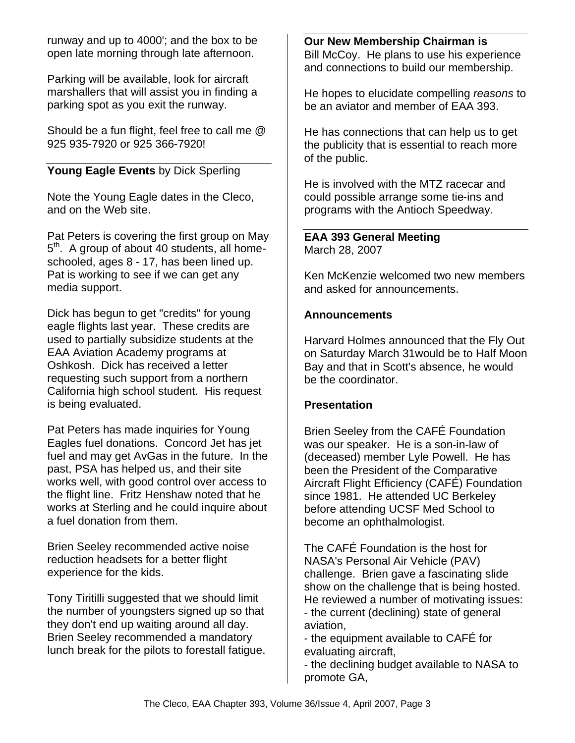runway and up to 4000'; and the box to be open late morning through late afternoon.

Parking will be available, look for aircraft marshallers that will assist you in finding a parking spot as you exit the runway.

Should be a fun flight, feel free to call me @ 925 935-7920 or 925 366-7920!

### **Young Eagle Events** by Dick Sperling

Note the Young Eagle dates in the Cleco, and on the Web site.

Pat Peters is covering the first group on May 5<sup>th</sup>. A group of about 40 students, all homeschooled, ages 8 - 17, has been lined up. Pat is working to see if we can get any media support.

Dick has begun to get "credits" for young eagle flights last year. These credits are used to partially subsidize students at the EAA Aviation Academy programs at Oshkosh. Dick has received a letter requesting such support from a northern California high school student. His request is being evaluated.

Pat Peters has made inquiries for Young Eagles fuel donations. Concord Jet has jet fuel and may get AvGas in the future. In the past, PSA has helped us, and their site works well, with good control over access to the flight line. Fritz Henshaw noted that he works at Sterling and he could inquire about a fuel donation from them.

Brien Seeley recommended active noise reduction headsets for a better flight experience for the kids.

Tony Tiritilli suggested that we should limit the number of youngsters signed up so that they don't end up waiting around all day. Brien Seeley recommended a mandatory lunch break for the pilots to forestall fatigue. **Our New Membership Chairman is**  Bill McCoy. He plans to use his experience and connections to build our membership.

He hopes to elucidate compelling *reasons* to be an aviator and member of EAA 393.

He has connections that can help us to get the publicity that is essential to reach more of the public.

He is involved with the MTZ racecar and could possible arrange some tie-ins and programs with the Antioch Speedway.

**EAA 393 General Meeting** March 28, 2007

Ken McKenzie welcomed two new members and asked for announcements.

#### **Announcements**

Harvard Holmes announced that the Fly Out on Saturday March 31would be to Half Moon Bay and that in Scott's absence, he would be the coordinator.

### **Presentation**

Brien Seeley from the CAFÉ Foundation was our speaker. He is a son-in-law of (deceased) member Lyle Powell. He has been the President of the Comparative Aircraft Flight Efficiency (CAFÉ) Foundation since 1981. He attended UC Berkeley before attending UCSF Med School to become an ophthalmologist.

The CAFÉ Foundation is the host for NASA's Personal Air Vehicle (PAV) challenge. Brien gave a fascinating slide show on the challenge that is being hosted. He reviewed a number of motivating issues: - the current (declining) state of general aviation,

- the equipment available to CAFÉ for evaluating aircraft,

- the declining budget available to NASA to promote GA,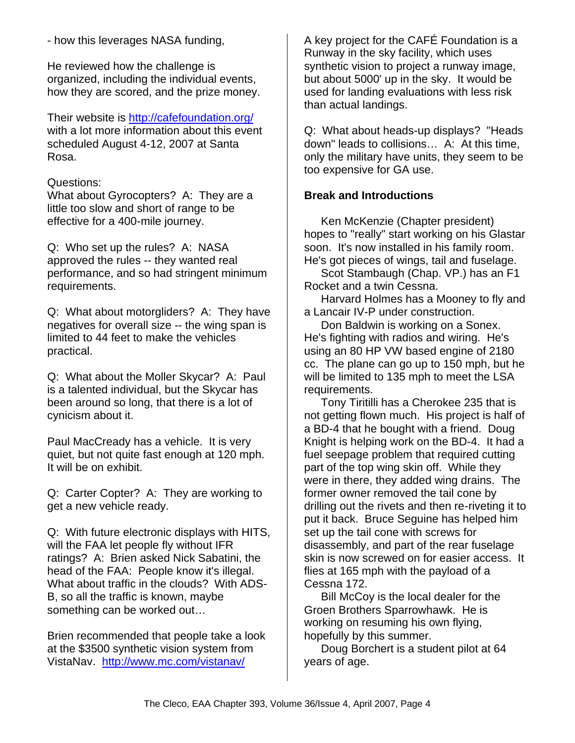Q: Carter Copter? A: They are working to get a new vehicle ready. Q: With future electronic displays with HITS,

will the FAA let people fly without IFR ratings? A: Brien asked Nick Sabatini, the head of the FAA: People know it's illegal. What about traffic in the clouds? With ADS-B, so all the traffic is known, maybe something can be worked out…

Brien recommended that people take a look at the \$3500 synthetic vision system from VistaNav. http://www.mc.com/vistanav/

A key project for the CAFÉ Foundation is a Runway in the sky facility, which uses synthetic vision to project a runway image, but about 5000' up in the sky. It would be used for landing evaluations with less risk than actual landings.

Q: What about heads-up displays? "Heads down" leads to collisions… A: At this time, only the military have units, they seem to be too expensive for GA use.

### **Break and Introductions**

Ken McKenzie (Chapter president) hopes to "really" start working on his Glastar soon. It's now installed in his family room. He's got pieces of wings, tail and fuselage.

Scot Stambaugh (Chap. VP.) has an F1 Rocket and a twin Cessna.

Harvard Holmes has a Mooney to fly and a Lancair IV-P under construction.

Don Baldwin is working on a Sonex. He's fighting with radios and wiring. He's using an 80 HP VW based engine of 2180 cc. The plane can go up to 150 mph, but he will be limited to 135 mph to meet the LSA requirements.

Tony Tiritilli has a Cherokee 235 that is not getting flown much. His project is half of a BD-4 that he bought with a friend. Doug Knight is helping work on the BD-4. It had a fuel seepage problem that required cutting part of the top wing skin off. While they were in there, they added wing drains. The former owner removed the tail cone by drilling out the rivets and then re-riveting it to put it back. Bruce Seguine has helped him set up the tail cone with screws for disassembly, and part of the rear fuselage skin is now screwed on for easier access. It flies at 165 mph with the payload of a Cessna 172.

Bill McCoy is the local dealer for the Groen Brothers Sparrowhawk. He is working on resuming his own flying, hopefully by this summer.

Doug Borchert is a student pilot at 64 years of age.

### - how this leverages NASA funding,

He reviewed how the challenge is organized, including the individual events, how they are scored, and the prize money.

Their website is http://cafefoundation.org/ with a lot more information about this event scheduled August 4-12, 2007 at Santa Rosa.

### Questions:

What about Gyrocopters? A: They are a little too slow and short of range to be effective for a 400-mile journey.

Q: Who set up the rules? A: NASA approved the rules -- they wanted real performance, and so had stringent minimum requirements.

Q: What about motorgliders? A: They have negatives for overall size -- the wing span is limited to 44 feet to make the vehicles practical.

Q: What about the Moller Skycar? A: Paul is a talented individual, but the Skycar has been around so long, that there is a lot of cynicism about it.

Paul MacCready has a vehicle. It is very quiet, but not quite fast enough at 120 mph.

It will be on exhibit.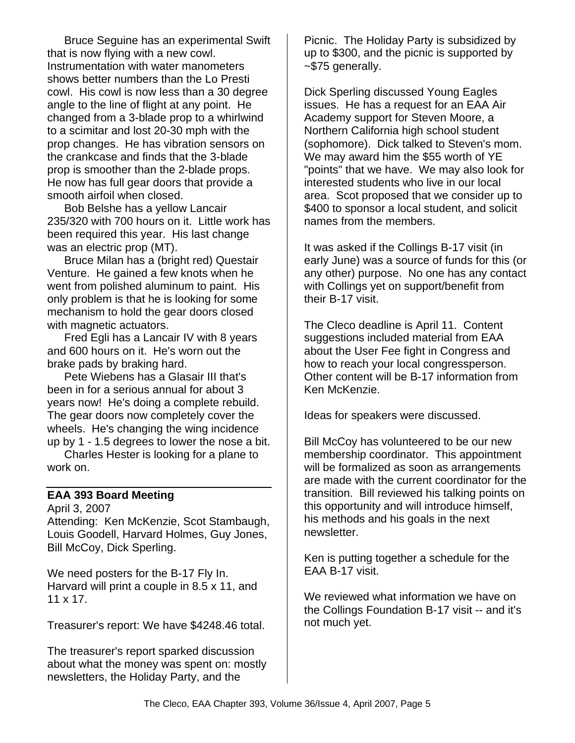Bruce Seguine has an experimental Swift that is now flying with a new cowl. Instrumentation with water manometers shows better numbers than the Lo Presti cowl. His cowl is now less than a 30 degree angle to the line of flight at any point. He changed from a 3-blade prop to a whirlwind to a scimitar and lost 20-30 mph with the prop changes. He has vibration sensors on the crankcase and finds that the 3-blade prop is smoother than the 2-blade props. He now has full gear doors that provide a smooth airfoil when closed.

Bob Belshe has a yellow Lancair 235/320 with 700 hours on it. Little work has been required this year. His last change was an electric prop (MT).

Bruce Milan has a (bright red) Questair Venture. He gained a few knots when he went from polished aluminum to paint. His only problem is that he is looking for some mechanism to hold the gear doors closed with magnetic actuators.

Fred Egli has a Lancair IV with 8 years and 600 hours on it. He's worn out the brake pads by braking hard.

Pete Wiebens has a Glasair III that's been in for a serious annual for about 3 years now! He's doing a complete rebuild. The gear doors now completely cover the wheels. He's changing the wing incidence up by 1 - 1.5 degrees to lower the nose a bit.

Charles Hester is looking for a plane to work on.

### **EAA 393 Board Meeting**

April 3, 2007 Attending: Ken McKenzie, Scot Stambaugh, Louis Goodell, Harvard Holmes, Guy Jones, Bill McCoy, Dick Sperling.

We need posters for the B-17 Fly In. Harvard will print a couple in 8.5 x 11, and 11 x 17.

Treasurer's report: We have \$4248.46 total.

The treasurer's report sparked discussion about what the money was spent on: mostly newsletters, the Holiday Party, and the

Picnic. The Holiday Party is subsidized by up to \$300, and the picnic is supported by ~\$75 generally.

Dick Sperling discussed Young Eagles issues. He has a request for an EAA Air Academy support for Steven Moore, a Northern California high school student (sophomore). Dick talked to Steven's mom. We may award him the \$55 worth of YE "points" that we have. We may also look for interested students who live in our local area. Scot proposed that we consider up to \$400 to sponsor a local student, and solicit names from the members.

It was asked if the Collings B-17 visit (in early June) was a source of funds for this (or any other) purpose. No one has any contact with Collings yet on support/benefit from their B-17 visit.

The Cleco deadline is April 11. Content suggestions included material from EAA about the User Fee fight in Congress and how to reach your local congressperson. Other content will be B-17 information from Ken McKenzie.

Ideas for speakers were discussed.

Bill McCoy has volunteered to be our new membership coordinator. This appointment will be formalized as soon as arrangements are made with the current coordinator for the transition. Bill reviewed his talking points on this opportunity and will introduce himself, his methods and his goals in the next newsletter.

Ken is putting together a schedule for the EAA B-17 visit.

We reviewed what information we have on the Collings Foundation B-17 visit -- and it's not much yet.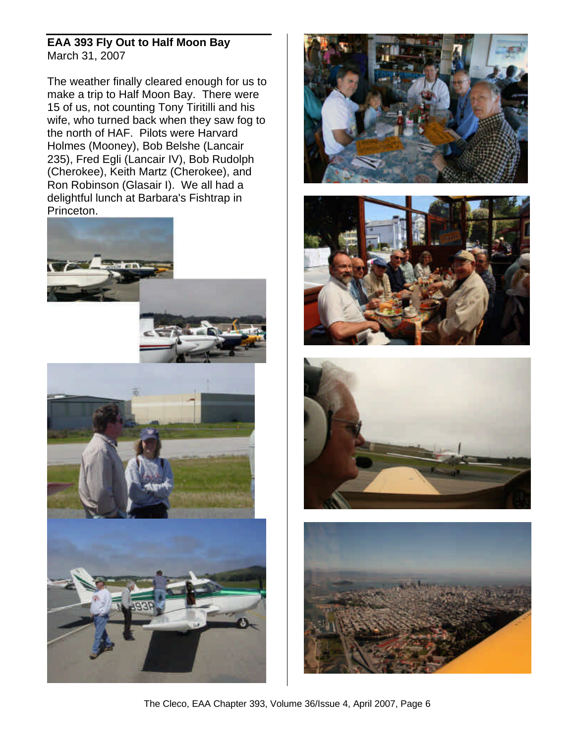### **EAA 393 Fly Out to Half Moon Bay** March 31, 2007

The weather finally cleared enough for us to make a trip to Half Moon Bay. There were 15 of us, not counting Tony Tiritilli and his wife, who turned back when they saw fog to the north of HAF. Pilots were Harvard Holmes (Mooney), Bob Belshe (Lancair 235), Fred Egli (Lancair IV), Bob Rudolph (Cherokee), Keith Martz (Cherokee), and Ron Robinson (Glasair I). We all had a delightful lunch at Barbara's Fishtrap in Princeton.











The Cleco, EAA Chapter 393, Volume 36/Issue 4, April 2007, Page 6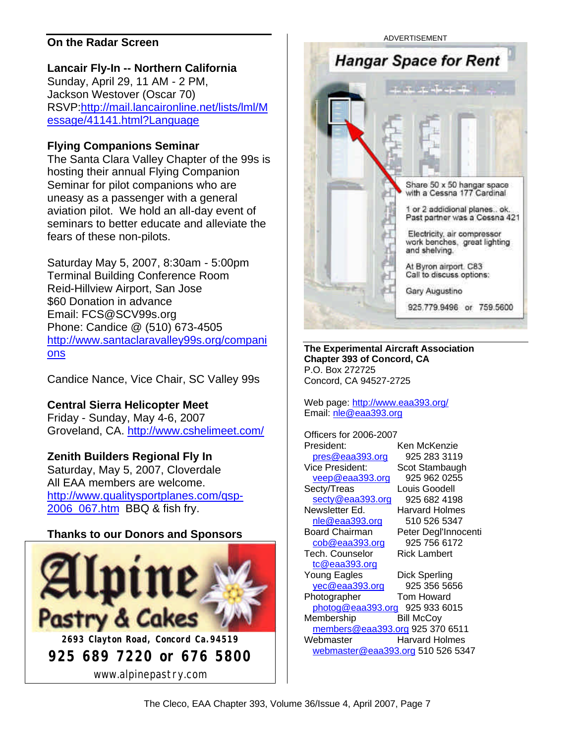### **On the Radar Screen**

### **Lancair Fly-In -- Northern California**

Sunday, April 29, 11 AM - 2 PM, Jackson Westover (Oscar 70) RSVP:http://mail.lancaironline.net/lists/lml/M essage/41141.html?Language

### **Flying Companions Seminar**

The Santa Clara Valley Chapter of the 99s is hosting their annual Flying Companion Seminar for pilot companions who are uneasy as a passenger with a general aviation pilot. We hold an all-day event of seminars to better educate and alleviate the fears of these non-pilots.

Saturday May 5, 2007, 8:30am - 5:00pm Terminal Building Conference Room Reid-Hillview Airport, San Jose \$60 Donation in advance Email: FCS@SCV99s.org Phone: Candice @ (510) 673-4505 http://www.santaclaravalley99s.org/compani ons

Candice Nance, Vice Chair, SC Valley 99s

**Central Sierra Helicopter Meet**

Friday - Sunday, May 4-6, 2007 Groveland, CA. http://www.cshelimeet.com/

### **Zenith Builders Regional Fly In**

Saturday, May 5, 2007, Cloverdale All EAA members are welcome. http://www.qualitysportplanes.com/qsp-2006\_067.htm BBQ & fish fry.

### **Thanks to our Donors and Sponsors**



**Hangar Space for Rent** Share 50 x 50 hangar space with a Cessna 177 Cardinal 1 or 2 addidional planes.. ok. Past partner was a Cessna 421 Electricity, air compressor work benches, great lighting and shelving. At Byron airport. C83 Call to discuss options: Gary Augustino 925,779,9496 or 759,5600

**The Experimental Aircraft Association Chapter 393 of Concord, CA** P.O. Box 272725 Concord, CA 94527-2725

Web page: http://www.eaa393.org/ Email: nle@eaa393.org

Officers for 2006-2007 President: Ken McKenzie pres@eaa393.org 925 283 3119 Vice President: Scot Stambaugh veep@eaa393.org 925 962 0255 Secty/Treas Louis Goodell secty@eaa393.org 925 682 4198 Newsletter Ed. Harvard Holmes nle@eaa393.org 510 526 5347 Board Chairman Peter Degl'Innocenti cob@eaa393.org 925 756 6172 Tech. Counselor Rick Lambert tc@eaa393.org Young Eagles Dick Sperling yec@eaa393.org 925 356 5656 Photographer Tom Howard photog@eaa393.org 925 933 6015 Membership Bill McCoy members@eaa393.org 925 370 6511 Webmaster **Harvard Holmes** webmaster@eaa393.org 510 526 5347

ADVERTISEMENT